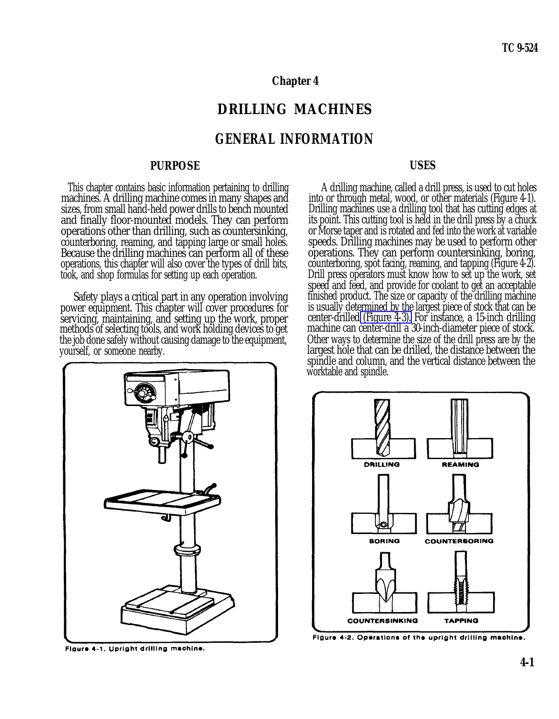# **Chapter 4**

# **DRILLING MACHINES**

# **GENERAL INFORMATION**

## **PURPOSE**

<span id="page-0-0"></span>This chapter contains basic information pertaining to drilling machines. A drilling machine comes in many shapes and sizes, from small hand-held power drills to bench mounted and finally floor-mounted models. They can perform operations other than drilling, such as countersinking, counterboring, reaming, and tapping large or small holes. Because the drilling machines can perform all of these operations, this chapter will also cover the types of drill bits, took, and shop formulas for setting up each operation.

Safety plays a critical part in any operation involving power equipment. This chapter will cover procedures for servicing, maintaining, and setting up the work, proper methods of selecting tools, and work holding devices to get the job done safely without causing damage to the equipment, yourself, or someone nearby.



Figure 4-1. Upright drilling machine.

#### **USES**

A drilling machine, called a drill press, is used to cut holes into or through metal, wood, or other materials (Figure 4-1). Drilling machines use a drilling tool that has cutting edges at its point. This cutting tool is held in the drill press by a chuck or Morse taper and is rotated and fed into the work at variable speeds. Drilling machines may be used to perform other operations. They can perform countersinking, boring, counterboring, spot facing, reaming, and tapping (Figure 4-2). Drill press operators must know how to set up the work, set speed and feed, and provide for coolant to get an acceptable finished product. The size or capacity of the drilling machine is usually determined by the largest piece of stock that can be center-drilled [\(Figure 4-3\).](#page-1-0) For instance, a 15-inch drilling machine can center-drill a 30-inch-diameter piece of stock. Other ways to determine the size of the drill press are by the largest hole that can be drilled, the distance between the spindle and column, and the vertical distance between the worktable and spindle.



Figure 4-2. Operations of the upright drilling machine.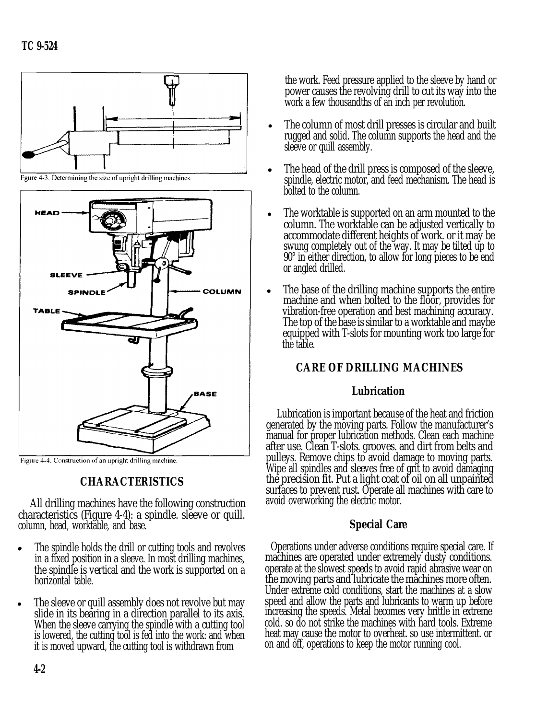<span id="page-1-0"></span>

Fgure 4-3. Determining the size of upright drilling machines.



Figure 4-4. Construction of an upright drilling machine.

# **CHARACTERISTICS**

All drilling machines have the following construction characteristics (Figure 4-4): a spindle. sleeve or quill. column, head, worktable, and base.

- The spindle holds the drill or cutting tools and revolves in a fixed position in a sleeve. In most drilling machines, the spindle is vertical and the work is supported on a horizontal table.
- The sleeve or quill assembly does not revolve but may slide in its bearing in a direction parallel to its axis. When the sleeve carrying the spindle with a cutting tool is lowered, the cutting tool is fed into the work: and when it is moved upward, the cutting tool is withdrawn from

the work. Feed pressure applied to the sleeve by hand or power causes the revolving drill to cut its way into the work a few thousandths of an inch per revolution.

- The column of most drill presses is circular and built rugged and solid. The column supports the head and the sleeve or quill assembly.
- The head of the drill press is composed of the sleeve, spindle, electric motor, and feed mechanism. The head is bolted to the column.
- The worktable is supported on an arm mounted to the column. The worktable can be adjusted vertically to accommodate different heights of work. or it may be swung completely out of the way. It may be tilted up to 90° in either direction, to allow for long pieces to be end or angled drilled.
- The base of the drilling machine supports the entire machine and when bolted to the floor, provides for vibration-free operation and best machining accuracy. The top of the base is similar to a worktable and maybe equipped with T-slots for mounting work too large for the table.

# **CARE OF DRILLING MACHINES**

# **Lubrication**

Lubrication is important because of the heat and friction generated by the moving parts. Follow the manufacturer's manual for proper lubrication methods. Clean each machine after use. Clean T-slots. grooves. and dirt from belts and pulleys. Remove chips to avoid damage to moving parts. Wipe all spindles and sleeves free of grit to avoid damaging the precision fit. Put a light coat of oil on all unpainted surfaces to prevent rust. Operate all machines with care to avoid overworking the electric motor.

# **Special Care**

Operations under adverse conditions require special care. If machines are operated under extremely dusty conditions. operate at the slowest speeds to avoid rapid abrasive wear on the moving parts and lubricate the machines more often. Under extreme cold conditions, start the machines at a slow speed and allow the parts and lubricants to warm up before increasing the speeds. Metal becomes very brittle in extreme cold. so do not strike the machines with hard tools. Extreme heat may cause the motor to overheat. so use intermittent. or on and off, operations to keep the motor running cool.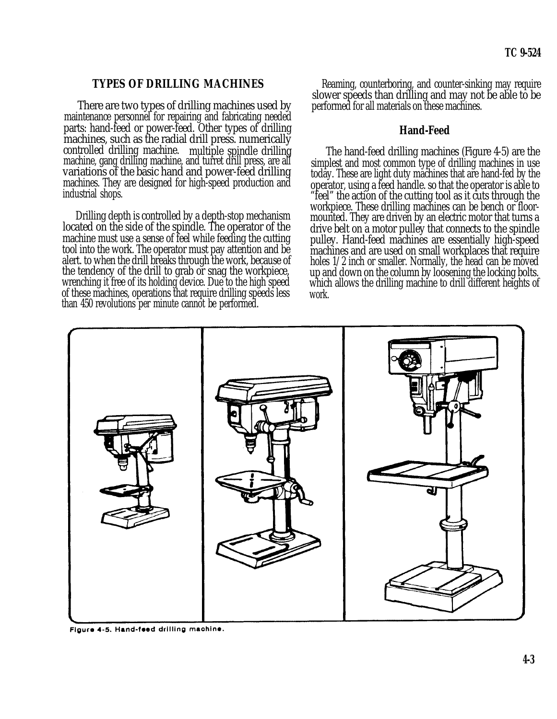## **TYPES OF DRILLING MACHINES**

<span id="page-2-0"></span>There are two types of drilling machines used by maintenance personnel for repairing and fabricating needed parts: hand-feed or power-feed. Other types of drilling machines, such as the radial drill press. numerically controlled drilling machine. multiple spindle drilling machine, gang drilling machine, and turret drill press, are all variations of the basic hand and power-feed drilling machines. They are designed for high-speed production and industrial shops.

Drilling depth is controlled by a depth-stop mechanism located on the side of the spindle. The operator of the machine must use a sense of feel while feeding the cutting tool into the work. The operator must pay attention and be alert. to when the drill breaks through the work, because of the tendency of the drill to grab or snag the workpiece, wrenching it free of its holding device. Due to the high speed of these machines, operations that require drilling speeds less work. than 450 revolutions per minute cannot be performed.

Reaming, counterboring, and counter-sinking may require slower speeds than drilling and may not be able to be performed for all materials on these machines.

### **Hand-Feed**

The hand-feed drilling machines (Figure 4-5) are the simplest and most common type of drilling machines in use today. These are light duty machines that are hand-fed by the operator, using a feed handle. so that the operator is able to "feel" the action of the cutting tool as it cuts through the workpiece. These drilling machines can be bench or floormounted. They are driven by an electric motor that turns a drive belt on a motor pulley that connects to the spindle pulley. Hand-feed machines are essentially high-speed machines and are used on small workplaces that require holes 1/2 inch or smaller. Normally, the head can be moved up and down on the column by loosening the locking bolts. which allows the drilling machine to drill different heights of



Figure 4-5. Hand-feed drilling machine.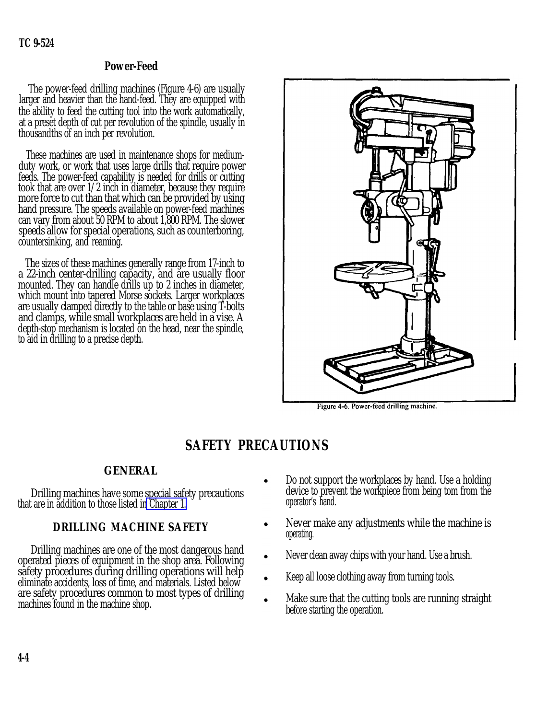# **Power-Feed**

<span id="page-3-0"></span>The power-feed drilling machines (Figure 4-6) are usually larger and heavier than the hand-feed. They are equipped with the ability to feed the cutting tool into the work automatically, at a preset depth of cut per revolution of the spindle, usually in thousandths of an inch per revolution.

These machines are used in maintenance shops for mediumduty work, or work that uses large drills that require power feeds. The power-feed capability is needed for drills or cutting took that are over 1/2 inch in diameter, because they require more force to cut than that which can be provided by using hand pressure. The speeds available on power-feed machines can vary from about 50 RPM to about 1,800 RPM. The slower speeds allow for special operations, such as counterboring, countersinking, and reaming.

The sizes of these machines generally range from 17-inch to a 22-inch center-drilling capacity, and are usually floor mounted. They can handle drills up to 2 inches in diameter, which mount into tapered Morse sockets. Larger workplaces are usually clamped directly to the table or base using T-bolts and clamps, while small workplaces are held in a vise. A depth-stop mechanism is located on the head, near the spindle, to aid in drilling to a precise depth.



Figure 4-6. Power-feed drilling machine.

# **SAFETY PRECAUTIONS**

## **GENERAL**

Drilling machines have some special safety precautions device to prev<br>t are in addition to those listed in Chapter 1 that are in addition to those listed i[n Chapter 1.](#page-0-0)

Drilling machines are one of the most dangerous hand Drining machines are one of the most dangerous nand<br>operated pieces of equipment in the shop area. Following Never clean away chips with your hand. Use a brush. safety procedures during drilling operations will help sarety procedures during urining operations will help Keep all loose clothing away from turning tools.<br>
eliminate accidents, loss of time, and materials. Listed below are safety procedures common to most types of drilling

- Do not support the workplaces by hand. Use a holding<br>device to prevent the workpiece from being tom from the  $\bullet$
- **DRILLING MACHINE SAFETY** Never make any adjustments while the machine is operating.
	-
	-
	- Make sure that the cutting tools are running straight. before starting the operation.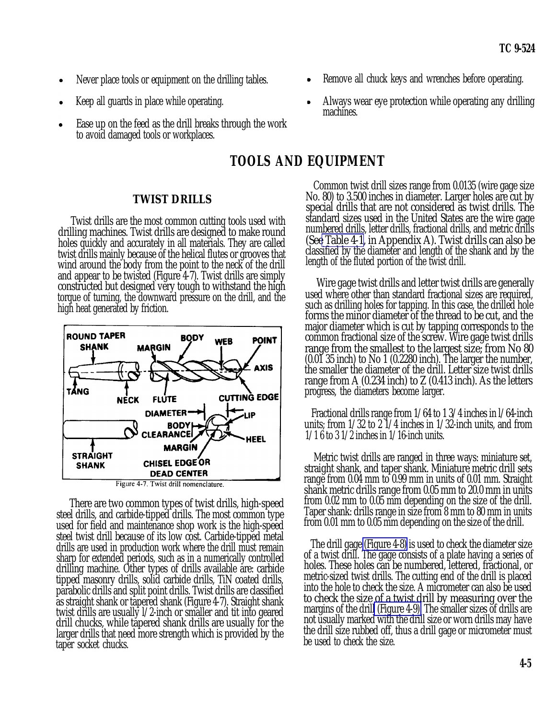- <span id="page-4-0"></span>Never place tools or equipment on the drilling tables.
- Keep all guards in place while operating.
- Ease up on the feed as the drill breaks through the work to avoid damaged tools or workplaces.
	-

machines.

# **TOOLS AND EQUIPMENT**

Ď

## **TWIST DRILLS**

Twist drills are the most common cutting tools used with drilling machines. Twist drills are designed to make round holes quickly and accurately in all materials. They are called twist drills mainly because of the helical flutes or grooves that wind around the body from the point to the neck of the drill and appear to be twisted (Figure 4-7). Twist drills are simply constructed but designed very tough to withstand the high torque of turning, the downward pressure on the drill, and the high heat generated by friction.



There are two common types of twist drills, high-speed steel drills, and carbide-tipped drills. The most common type used for field and maintenance shop work is the high-speed steel twist drill because of its low cost. Carbide-tipped metal drills are used in production work where the drill must remain sharp for extended periods, such as in a numerically controlled drilling machine. Other types of drills available are: carbide tipped masonry drills, solid carbide drills, TiN coated drills, parabolic drills and split point drills. Twist drills are classified as straight shank or tapered shank (Figure 4-7). Straight shank twist drills are usually l/2-inch or smaller and tit into geared drill chucks, while tapered shank drills are usually for the larger drills that need more strength which is provided by the taper socket chucks.

Common twist drill sizes range from 0.0135 (wire gage size No. 80) to 3.500 inches in diameter. Larger holes are cut by special drills that are not considered as twist drills. The standard sizes used in the United States are the wire gage numbered drills, letter drills, fractional drills, and metric drills (Se[e Table 4-1,](#page-2-0) in Appendix A). Twist drills can also be classified by the diameter and length of the shank and by the length of the fluted portion of the twist drill.

Remove all chuck keys and wrenches before operating.

Always wear eye protection while operating any drilling

Wire gage twist drills and letter twist drills are generally used where other than standard fractional sizes are required, such as drilling holes for tapping. In this case, the drilled hole forms the minor diameter of the thread to be cut, and the major diameter which is cut by tapping corresponds to the common fractional size of the screw. Wire gage twist drills range from the smallest to the largest size; from No 80  $(0.0135$  inch) to No 1  $(0.2280$  inch). The larger the number, the smaller the diameter of the drill. Letter size twist drills range from A (0.234 inch) to Z (0.413 inch). As the letters progress, the diameters become larger.

Fractional drills range from 1/64 to 1 3/4 inches in l/64-inch units; from 1/32 to 2 1/4 inches in 1/32-inch units, and from 1/1 6 to 3 1/2 inches in 1/16-inch units.

Metric twist drills are ranged in three ways: miniature set, straight shank, and taper shank. Miniature metric drill sets range from 0.04 mm to 0.99 mm in units of 0.01 mm. Straight shank metric drills range from 0.05 mm to 20.0 mm in units from 0.02 mm to 0.05 mm depending on the size of the drill. Taper shank: drills range in size from 8 mm to 80 mm in units from 0.01 mm to 0.05 mm depending on the size of the drill.

The drill gage [\(Figure 4-8\)](#page-5-0) is used to check the diameter size of a twist drill. The gage consists of a plate having a series of holes. These holes can be numbered, lettered, fractional, or metric-sized twist drills. The cutting end of the drill is placed into the hole to check the size. A micrometer can also be used to check the size of a twist drill by measuring over the margins of the dril[l \(Figure 4-9\).](#page-5-0) The smaller sizes of drills are not usually marked with the drill size or worn drills may have the drill size rubbed off, thus a drill gage or micrometer must be used to check the size.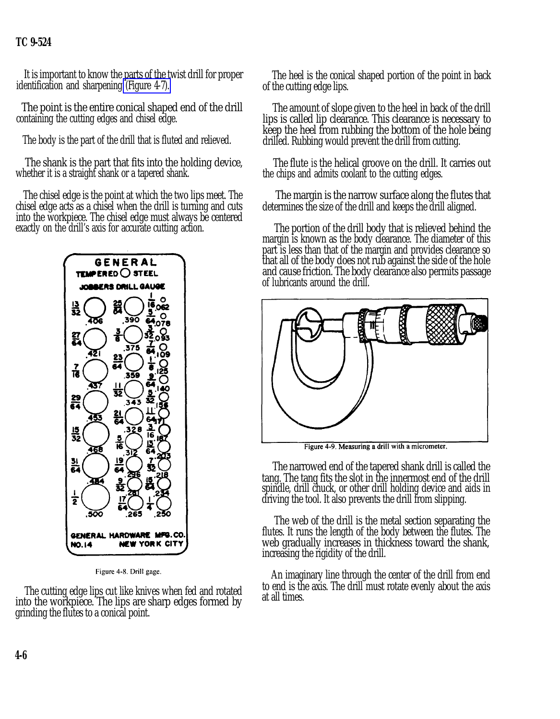# <span id="page-5-0"></span>**TC 9-524**

It is important to know the parts of the twist drill for proper identification and sharpening [\(Figure 4-7\).](#page-4-0)

The point is the entire conical shaped end of the drill containing the cutting edges and chisel edge.

The body is the part of the drill that is fluted and relieved.

The shank is the part that fits into the holding device, whether it is a straight shank or a tapered shank.

The chisel edge is the point at which the two lips meet. The chisel edge acts as a chisel when the drill is turning and cuts into the workpiece. The chisel edge must always be centered exactly on the drill's axis for accurate cutting action.



Figure 4-8. Drill gage.

The cutting edge lips cut like knives when fed and rotated into the workpiece. The lips are sharp edges formed by grinding the flutes to a conical point.

The heel is the conical shaped portion of the point in back of the cutting edge lips.

The amount of slope given to the heel in back of the drill lips is called lip clearance. This clearance is necessary to keep the heel from rubbing the bottom of the hole being drilled. Rubbing would prevent the drill from cutting.

The flute *is* the helical groove on the drill. It carries out the chips and admits coolant to the cutting edges.

The margin is the narrow surface along the flutes that determines the size of the drill and keeps the drill aligned.

The portion of the drill body that is relieved behind the margin is known as the body clearance. The diameter of this part is less than that of the margin and provides clearance so that all of the body does not rub against the side of the hole and cause friction. The body clearance also permits passage of lubricants around the drill.



Figure 4-9. Measuring a drill with a micrometer.

The narrowed end of the tapered shank drill is called the tang. The tang fits the slot in the innermost end of the drill spindle, drill chuck, or other drill holding device and aids in driving the tool. It also prevents the drill from slipping.

The web of the drill is the metal section separating the flutes. It runs the length of the body between the flutes. The web gradually increases in thickness toward the shank, increasing the rigidity of the drill.

An imaginary line through the center of the drill from end to end is the axis. The drill must rotate evenly about the axis at all times.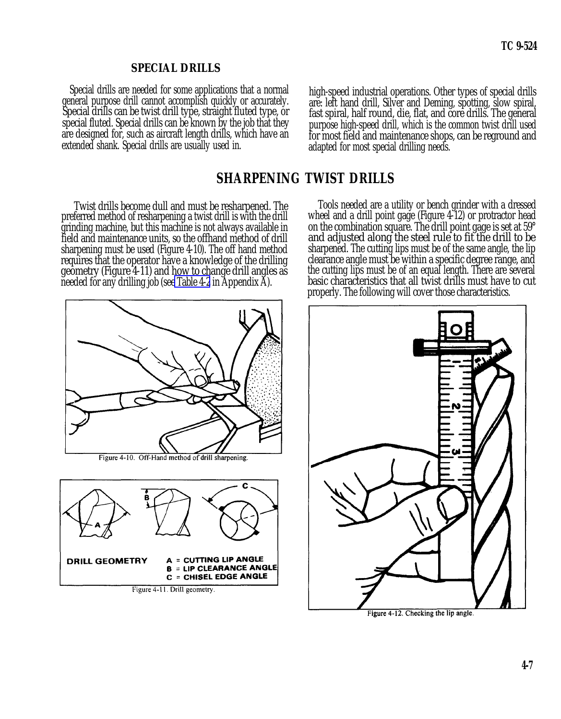## **SPECIAL DRILLS**

<span id="page-6-0"></span>Special drills are needed for some applications that a normal high-speed industrial operations. Other types of special drills general purpose drill cannot accomplish quickly or accurately.<br>Special drills can be twist drill type, straight fluted type, or<br>special fluted. Special drills can be known by the job that they are designed for, such as aircraft length drills, which have an for most field and maintenance shops extended shank. Special drills are usually used in. <br>adapted for most special drilling needs. extended shank. Special drills are usually used in.

are: left hand drill, Silver and Deming, spotting, slow spiral, fast spiral, half round, die, flat, and core drills. The general purpose high-speed drill, which is the common twist drill used<br>for most field and maintenance shops, can be reground and

# **SHARPENING TWIST DRILLS**

Twist drills become dull and must be resharpened. The preferred method of resharpening a twist drill is with the drill grinding machine, but this machine is not always available in field and maintenance units, so the offhand method of drill sharpening must be used (Figure 4-10). The off hand method requires that the operator have a knowledge of the drilling geometry (Figure 4-11) and how to change drill angles as needed for any drilling job (se[e Table 4-2](#page-3-0) in Appendix A).



Figure 4-11. Drill geometry.

**DRILL GEOMETRY** 

A = CUTTING LIP ANGLE

**B = LIP CLEARANCE ANGLE** C = CHISEL EDGE ANGLE

Tools needed are a utility or bench grinder with a dressed wheel and a drill point gage (Figure 4-12) or protractor head on the combination square. The drill point gage is set at 59° and adjusted along the steel rule to fit the drill to be sharpened. The cutting lips must be of the same angle, the lip clearance angle must be within a specific degree range, and the cutting lips must be of an equal length. There are several basic characteristics that all twist drills must have to cut properly. The following will cover those characteristics.

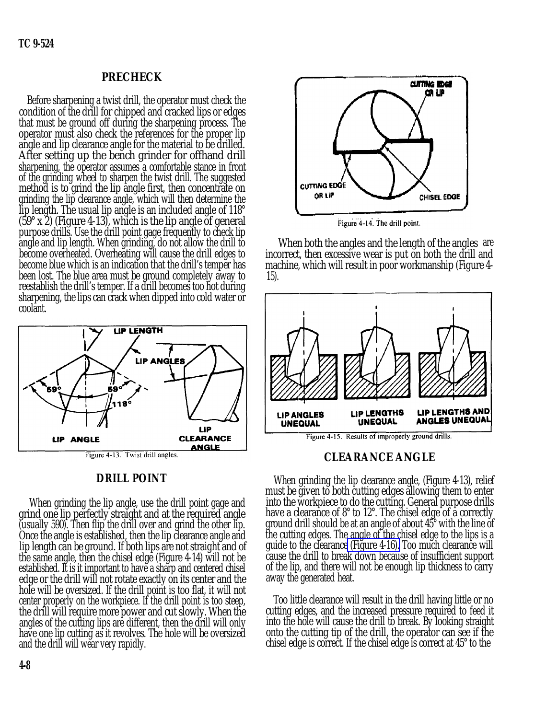## **PRECHECK**

Before sharpening a twist drill, the operator must check the condition of the drill for chipped and cracked lips or edges that must be ground off during the sharpening process. The operator must also check the references for the proper lip angle and lip clearance angle for the material to be drilled. After setting up the bench grinder for offhand drill sharpening, the operator assumes a comfortable stance in front of the grinding wheel to sharpen the twist drill. The suggested method is to grind the lip angle first, then concentrate on grinding the lip clearance angle, which will then determine the lip length. The usual lip angle is an included angle of 118°  $(59° \times 2)$  (Figure 4-13), which is the lip angle of general purpose drills. Use the drill point gage frequently to check lip angle and lip length. When grinding, do not allow the drill to become overheated. Overheating will cause the drill edges to become blue which is an indication that the drill's temper has been lost. The blue area must be ground completely away to reestablish the drill's temper. If a drill becomes too hot during sharpening, the lips can crack when dipped into cold water or coolant.



## **DRILL POINT**

When grinding the lip angle, use the drill point gage and grind one lip perfectly straight and at the required angle (usually 590). Then flip the drill over and grind the other lip. Once the angle is established, then the lip clearance angle and lip length can be ground. If both lips are not straight and of the same angle, then the chisel edge (Figure 4-14) will not be established. It is it important to have a sharp and centered chisel edge or the drill will not rotate exactly on its center and the hole will be oversized. If the drill point is too flat, it will not center properly on the workpiece. If the drill point is too steep, the drill will require more power and cut slowly. When the angles of the cutting lips are different, then the drill will only have one lip cutting as it revolves. The hole will be oversized and the drill will wear very rapidly.



When both the angles and the length of the angles are incorrect, then excessive wear is put on both the drill and machine, which will result in poor workmanship (Figure 4- 15).



## **CLEARANCE ANGLE**

When grinding the lip clearance angle, (Figure 4-13), relief must be given to both cutting edges allowing them to enter into the workpiece to do the cutting. General purpose drills have a clearance of 8° to 12°. The chisel edge of a correctly ground drill should be at an angle of about 45° with the line of the cutting edges. The angle of the chisel edge to the lips is a guide to the clearance [\(Figure 4-16\).](#page-8-0) Too much clearance will cause the drill to break down because of insufficient support of the lip, and there will not be enough lip thickness to carry away the generated heat.

Too little clearance will result in the drill having little or no cutting edges, and the increased pressure required to feed it into the hole will cause the drill to break. By looking straight onto the cutting tip of the drill, the operator can see if the chisel edge is correct. If the chisel edge is correct at 45° to the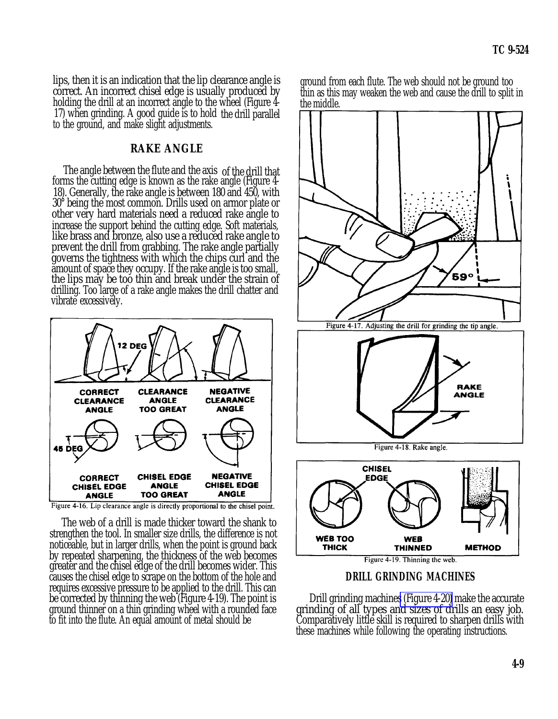<span id="page-8-0"></span>lips, then it is an indication that the lip clearance angle is correct. An incorrect chisel edge is usually produced by holding the drill at an incorrect angle to the wheel (Figure 4-17) when grinding. A good guide is to hold the drill parallel to the ground, and make slight adjustments.

## **RAKE ANGLE**

The angle between the flute and the axis of the drill that forms the cutting edge is known as the rake angle (Figure 4- 18). Generally, the rake angle is between 180 and 450, with 30° being the most common. Drills used on armor plate or other very hard materials need a reduced rake angle to increase the support behind the cutting edge. Soft materials, like brass and bronze, also use a reduced rake angle to prevent the drill from grabbing. The rake angle partially governs the tightness with which the chips curl and the amount of space they occupy. If the rake angle is too small, the lips may be too thin and break under the strain of drilling. Too large of a rake angle makes the drill chatter and vibrate excessively.



Figure 4-16. Lip clearance angle is directly proportional to the chisel point.

The web of a drill is made thicker toward the shank to strengthen the tool. In smaller size drills, the difference is not noticeable, but in larger drills, when the point is ground back by repeated sharpening, the thickness of the web becomes greater and the chisel edge of the drill becomes wider. This causes the chisel edge to scrape on the bottom of the hole and requires excessive pressure to be applied to the drill. This can be corrected by thinning the web (Figure 4-19). The point is ground thinner on a thin grinding wheel with a rounded face to fit into the flute. An equal amount of metal should be

ground from each flute. The web should not be ground too thin as this may weaken the web and cause the drill to split in the middle.



## **DRILL GRINDING MACHINES**

Drill grinding machine[s \(Figure 4-20\)](#page-9-0) make the accurate grinding of all types and sizes of drills an easy job. Comparatively little skill is required to sharpen drills with these machines while following the operating instructions.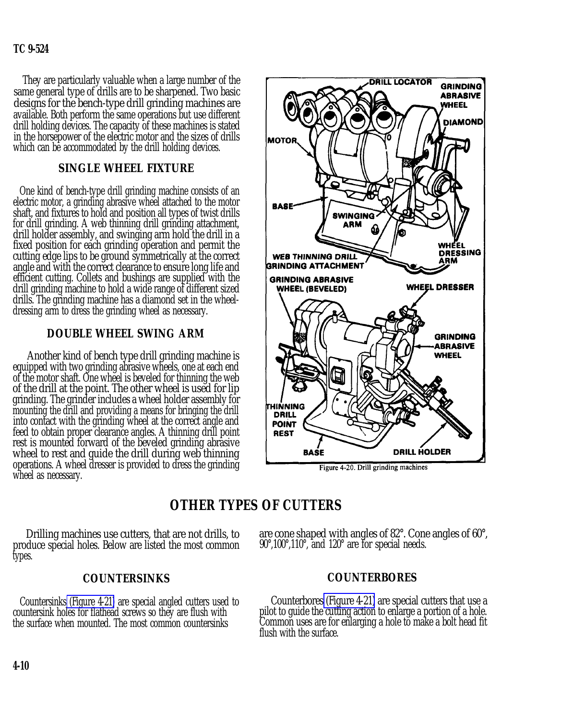# <span id="page-9-0"></span>**TC 9-524**

They are particularly valuable when a large number of the same general type of drills are to be sharpened. Two basic designs for the bench-type drill grinding machines are available. Both perform the same operations but use different drill holding devices. The capacity of these machines is stated in the horsepower of the electric motor and the sizes of drills which can be accommodated by the drill holding devices.

# **SINGLE WHEEL FIXTURE**

One kind of bench-type drill grinding machine consists of an electric motor, a grinding abrasive wheel attached to the motor shaft, and fixtures to hold and position all types of twist drills for drill grinding. A web thinning drill grinding attachment, drill holder assembly, and swinging arm hold the drill in a fixed position for each grinding operation and permit the cutting edge lips to be ground symmetrically at the correct angle and with the correct clearance to ensure long life and efficient cutting. Collets and bushings are supplied with the drill grinding machine to hold a wide range of different sized drills. The grinding machine has a diamond set in the wheeldressing arm to dress the grinding wheel as necessary.

# **DOUBLE WHEEL SWING ARM**

Another kind of bench type drill grinding machine is equipped with two grinding abrasive wheels, one at each end of the motor shaft. One wheel is beveled for thinning the web of the drill at the point. The other wheel is used for lip grinding. The grinder includes a wheel holder assembly for mounting the drill and providing a means for bringing the drill into contact with the grinding wheel at the correct angle and feed to obtain proper clearance angles. A thinning drill point rest is mounted forward of the beveled grinding abrasive wheel to rest and guide the drill during web thinning operations. A wheel dresser is provided to dress the grinding wheel as necessary.



Figure 4-20. Drill grinding machines

# **OTHER TYPES OF CUTTERS**

produce special holes. Below are listed the most common types.

countersink holes for flathead screws so they are flush with the surface when mounted. The most common countersinks

Drilling machines use cutters, that are not drills, to are cone shaped with angles of 82°. Cone angles of 60°, duce special holes. Below are listed the most common  $90^{\circ},100^{\circ},110^{\circ}$ , and 120° are for special needs.

# **COUNTERSINKS COUNTERBORES**

Countersinks [\(Figure 4-21\)](#page-10-0) are special angled cutters used to Counterbores [\(Figure 4-21\)](#page-10-0) are special cutters that use a Common uses are for enlarging a hole to make a bolt head fit flush with the surface.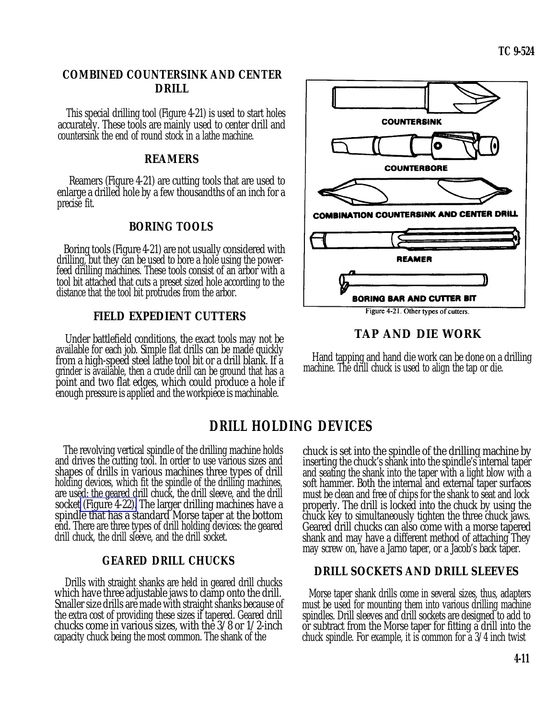# <span id="page-10-0"></span>**COMBINED COUNTERSINK AND CENTER DRILL**

This special drilling tool (Figure 4-21) is used to start holes accurately. These tools are mainly used to center drill and countersink the end of round stock in a lathe machine.

## **REAMERS**

Reamers (Figure 4-21) are cutting tools that are used to enlarge a drilled hole by a few thousandths of an inch for a precise fit.

# **BORING TOOLS**

Boring tools (Figure 4-21) are not usually considered with drilling, but they can be used to bore a hole using the powerfeed drilling machines. These tools consist of an arbor with a tool bit attached that cuts a preset sized hole according to the distance that the tool bit protrudes from the arbor.

# **FIELD EXPEDIENT CUTTERS**

Under battlefield conditions, the exact tools may not be available for each job. Simple flat drills can be made quickly from a high-speed steel lathe tool bit or a drill blank. If a grinder is available, then a crude drill can be ground that has a point and two flat edges, which could produce a hole if enough pressure is applied and the workpiece is machinable.

The revolving vertical spindle of the drilling machine holds and drives the cutting tool. In order to use various sizes and shapes of drills in various machines three types of drill holding devices, which fit the spindle of the drilling machines, are used: the geared drill chuck, the drill sleeve, and the drill socket [\(Figure 4-22\).](#page-11-0) The larger drilling machines have a spindle that has a standard Morse taper at the bottom end. There are three types of drill holding devices: the geared drill chuck, the drill sleeve, and the drill socket.

## **GEARED DRILL CHUCKS**

Drills with straight shanks are held in geared drill chucks which have three adjustable jaws to clamp onto the drill. Smaller size drills are made with straight shanks because of the extra cost of providing these sizes if tapered. Geared drill chucks come in various sizes, with the 3/8 or 1/2-inch capacity chuck being the most common. The shank of the



# **TAP AND DIE WORK**

Hand tapping and hand die work can be done on a drilling machine. The drill chuck is used to align the tap or die.

# **DRILL HOLDING DEVICES**

chuck is set into the spindle of the drilling machine by inserting the chuck's shank into the spindle's internal taper and seating the shank into the taper with a light blow with a soft hammer. Both the internal and external taper surfaces must be clean and free of chips for the shank to seat and lock properly. The drill is locked into the chuck by using the chuck key to simultaneously tighten the three chuck jaws. Geared drill chucks can also come with a morse tapered shank and may have a different method of attaching They may screw on, have a Jarno taper, or a Jacob's back taper.

# **DRILL SOCKETS AND DRILL SLEEVES**

Morse taper shank drills come in several sizes, thus, adapters must be used for mounting them into various drilling machine spindles. Drill sleeves and drill sockets are designed to add to or subtract from the Morse taper for fitting a drill into the chuck spindle. For example, it is common for a 3/4 inch twist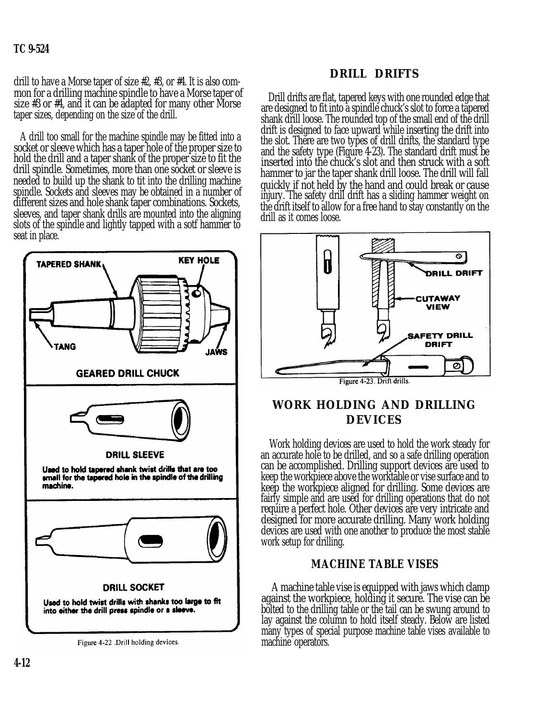<span id="page-11-0"></span>drill to have a Morse taper of size #2, #3, or #4. It is also com-<br>**DRILL DRIFTS** mon for a drilling machine spindle to have a Morse taper of size #3 or #4, and it can be adapted for many other Morse taper sizes, depending on the size of the drill.

A drill too small for the machine spindle may be fitted into a socket or sleeve which has a taper hole of the proper size to hold the drill and a taper shank of the proper size to fit the drill spindle. Sometimes, more than one socket or sleeve is needed to build up the shank to tit into the drilling machine spindle. Sockets and sleeves may be obtained in a number of different sizes and hole shank taper combinations. Sockets, sleeves, and taper shank drills are mounted into the aligning slots of the spindle and lightly tapped with a sotf hammer to seat in place.



Figure 4-22 .Drill holding devices.

Drill drifts are flat, tapered keys with one rounded edge that are designed to fit into a spindle chuck's slot to force a tapered shank drill loose. The rounded top of the small end of the drill drift is designed to face upward while inserting the drift into the slot. There are two types of drill drifts, the standard type and the safety type (Figure 4-23). The standard drift must be inserted into the chuck's slot and then struck with a soft hammer to jar the taper shank drill loose. The drill will fall quickly if not held by the hand and could break or cause injury. The safety drill drift has a sliding hammer weight on the drift itself to allow for a free hand to stay constantly on the drill as it comes loose.



# **WORK HOLDING AND DRILLING DEVICES**

Work holding devices are used to hold the work steady for an accurate hole to be drilled, and so a safe drilling operation can be accomplished. Drilling support devices are used to keep the workpiece above the worktable or vise surface and to keep the workpiece aligned for drilling. Some devices are fairly simple and are used for drilling operations that do not require a perfect hole. Other devices are very intricate and designed for more accurate drilling. Many work holding devices are used with one another to produce the most stable work setup for drilling.

# **MACHINE TABLE VISES**

A machine table vise is equipped with jaws which clamp against the workpiece, holding it secure. The vise can be bolted to the drilling table or the tail can be swung around to lay against the column to hold itself steady. Below are listed many types of special purpose machine table vises available to machine operators.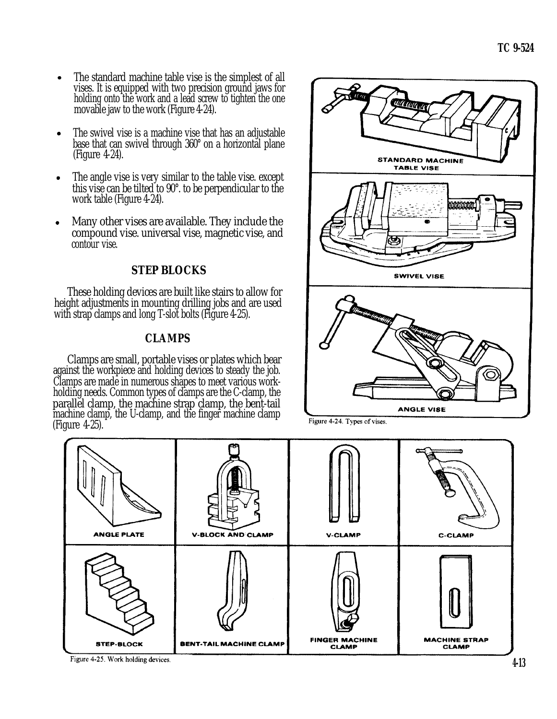- <span id="page-12-0"></span> $\bullet$ The standard machine table vise is the simplest of all vises. It is equipped with two precision ground jaws for holding onto the work and a lead screw to tighten the one movable jaw to the work (Figure 4-24).
- The swivel vise is a machine vise that has an adjustable  $\bullet$ base that can swivel through 360° on a horizontal plane (Figure 4-24).
- $\bullet$ The angle vise is very similar to the table vise. except this vise can be tilted to 90°. to be perpendicular to the work table (Figure 4-24).
- Many other vises are available. They include the compound vise. universal vise, magnetic vise, and contour vise.

# **STEP BLOCKS**

These holding devices are built like stairs to allow for height adjustments in mounting drilling jobs and are used with strap clamps and long T-slot bolts (Figure 4-25).

# **CLAMPS**

Clamps are small, portable vises or plates which bear against the workpiece and holding devices to steady the job. Clamps are made in numerous shapes to meet various workholding needs. Common types of clamps are the C-clamp, the parallel clamp, the machine strap clamp, the bent-tail machine clamp, the U-clamp, and the finger machine clamp (Figure 4-25).







Figure 4-25. Work holding devices.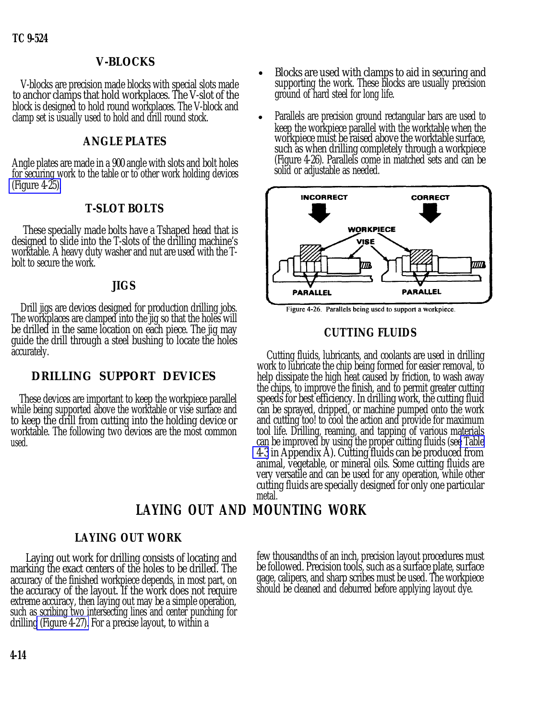# **V-BLOCKS**

V-blocks are precision made blocks with special slots made to anchor clamps that hold workplaces. The V-slot of the block is designed to hold round workplaces. The V-block and clamp set is usually used to hold and drill round stock.

## **ANGLE PLATES**

Angle plates are made in a 900 angle with slots and bolt holes for securing work to the table or to other work holding devices  $(Figure 4-25)$ .

# **T-SLOT BOLTS**

These specially made bolts have a Tshaped head that is designed to slide into the T-slots of the drilling machine's worktable. A heavy duty washer and nut are used with the Tbolt to secure the work.

# **JIGS**

Drill jigs are devices designed for production drilling jobs. The workplaces are clamped into the jig so that the holes will be drilled in the same location on each piece. The jig may guide the drill through a steel bushing to locate the holes accurately.

# **DRILLING SUPPORT DEVICES**

These devices are important to keep the workpiece parallel while being supported above the worktable or vise surface and to keep the drill from cutting into the holding device or worktable. The following two devices are the most common used.

- Blocks are used with clamps to aid in securing and supporting the work. These blocks are usually precision ground of hard steel for long life.
- Parallels are precision ground rectangular bars are used to keep the workpiece parallel with the worktable when the workpiece must be raised above the worktable surface, such as when drilling completely through a workpiece (Figure 4-26). Parallels come in matched sets and can be solid or adjustable as needed.



Figure 4-26. Parallels being used to support a workpiece.

# **CUTTING FLUIDS**

Cutting fluids, lubricants, and coolants are used in drilling work to lubricate the chip being formed for easier removal, to help dissipate the high heat caused by friction, to wash away the chips, to improve the finish, and to permit greater cutting speeds for best efficiency. In drilling work, the cutting fluid can be sprayed, dripped, or machine pumped onto the work and cutting too! to cool the action and provide for maximum tool life. Drilling, reaming, and tapping of various materials can be improved by using the proper cutting fluids (se[e Table](#page-4-0) [4-3](#page-4-0) in Appendix A). Cutting fluids can be produced from animal, vegetable, or mineral oils. Some cutting fluids are very versatile and can be used for any operation, while other cutting fluids are specially designed for only one particular metal.

# **LAYING OUT AND MOUNTING WORK**

# **LAYING OUT WORK**

marking the exact centers of the holes to be drilled. The be followed. Precision tools, such as a surface plate, surface<br>accuracy of the finished workpiece depends, in most part, on gage, calipers, and sharp scribes must b accuracy of the finished workpiece depends, in most part, on gage, calipers, and sharp scribes must be used. The workpie<br>the accuracy of the layout If the work does not require should be cleaned and deburred before applyin the accuracy of the layout. If the work does not require extreme accuracy, then laying out may be a simple operation, such as scribing two intersecting lines and center punching for drillin[g \(Figure 4-27\).](#page-14-0) For a precise layout, to within a

Laying out work for drilling consists of locating and few thousandths of an inch, precision layout procedures must<br>rking the exact centers of the holes to be drilled. The be followed. Precision tools, such as a surface pla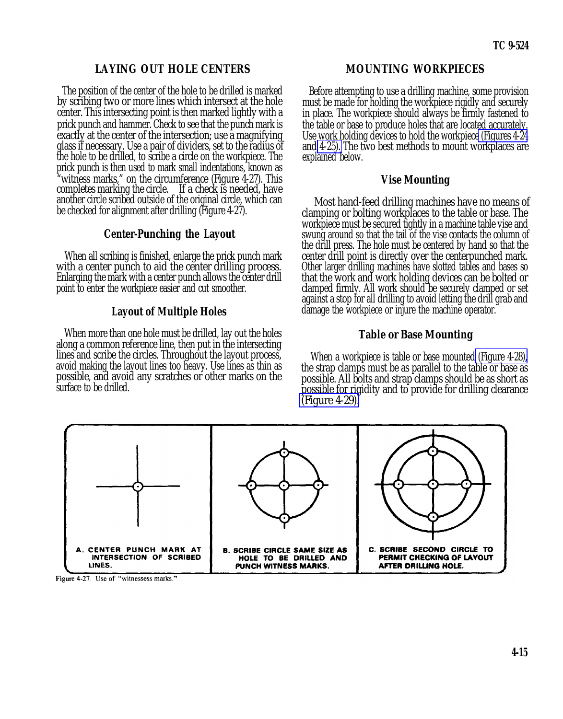# **LAYING OUT HOLE CENTERS**

<span id="page-14-0"></span>The position of the center of the hole to be drilled is marked by scribing two or more lines which intersect at the hole center. This intersecting point is then marked lightly with a prick punch and hammer. Check to see that the punch mark is exactly at the center of the intersection; use a magnifying glass if necessary. Use a pair of dividers, set to the radius of the hole to be drilled, to scribe a circle on the workpiece. The prick punch is then used to mark small indentations, known as "witness marks," on the circumference (Figure 4-27). This completes marking the circle. If a check is needed, have another circle scribed outside of the original circle, which can be checked for alignment after drilling (Figure 4-27).

## **Center-Punching the Layout**

When all scribing is finished, enlarge the prick punch mark with a center punch to aid the center drilling process. Enlarging the mark with a center punch allows the center drill point to enter the workpiece easier and cut smoother.

## **Layout of Multiple Holes**

When more than one hole must be drilled, lay out the holes along a common reference line, then put in the intersecting lines and scribe the circles. Throughout the layout process, avoid making the layout lines too heavy. Use lines as thin as possible, and avoid any scratches or other marks on the surface to be drilled.

## **MOUNTING WORKPIECES**

Before attempting to use a drilling machine, some provision must be made for holding the workpiece rigidly and securely in place. The workpiece should always be firmly fastened to the table or base to produce holes that are located accurately. Use work holding devices to hold the workpiec[e \(Figures 4-24](#page-12-0) and [4-25\).](#page-12-0) The two best methods to mount workplaces are explained below.

## **Vise Mounting**

Most hand-feed drilling machines have no means of clamping or bolting workplaces to the table or base. The workpiece must be secured tightly in a machine table vise and swung around so that the tail of the vise contacts the column of the drill press. The hole must be centered by hand so that the center drill point is directly over the centerpunched mark. Other larger drilling machines have slotted tables and bases so that the work and work holding devices can be bolted or clamped firmly. All work should be securely clamped or set against a stop for all drilling to avoid letting the drill grab and damage the workpiece or injure the machine operator.

## **Table or Base Mounting**

When a workpiece is table or base mounted [\(Figure 4-28\),](#page-15-0) the strap clamps must be as parallel to the table or base as possible. All bolts and strap clamps should be as short as possible for rigidity and to provide for drilling clearance [\(Figure 4-29\).](#page-15-0)



Figure 4-27. Use of "witnessess marks."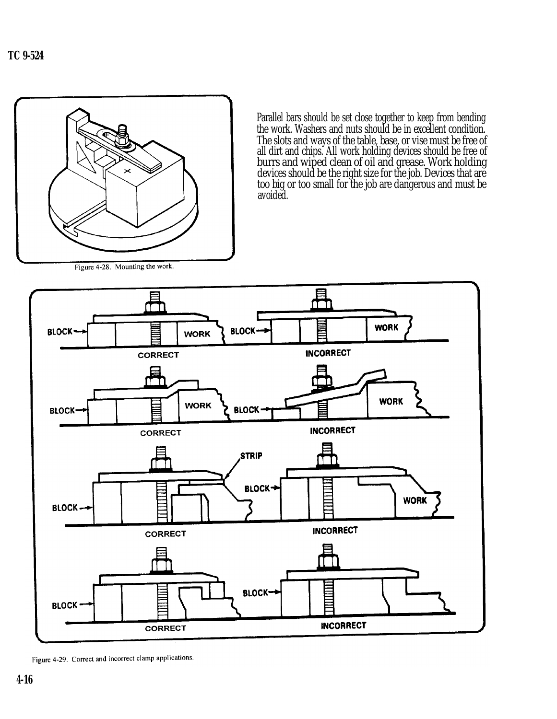<span id="page-15-0"></span>

Parallel bars should be set close together to keep from bending the work. Washers and nuts should be in excellent condition. The slots and ways of the table, base, or vise must be free of all dirt and chips. All work holding devices should be free of burrs and wiped clean of oil and grease. Work holding devices should be the right size for the job. Devices that are too big or too small for the job are dangerous and must be avoided.

Figure 4-28. Mounting the work.



Figure 4-29. Correct and incorrect clamp applications.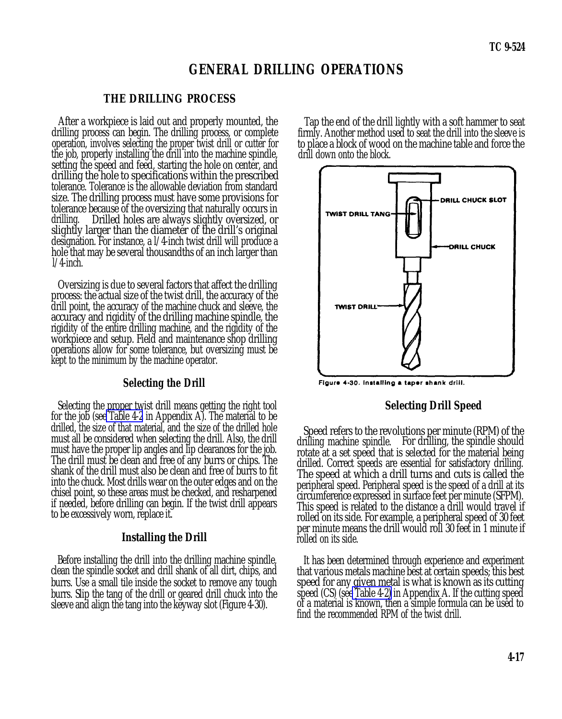# **GENERAL DRILLING OPERATIONS**

#### **THE DRILLING PROCESS**

After a workpiece is laid out and properly mounted, the drilling process can begin. The drilling process, or complete operation, involves selecting the proper twist drill or cutter for the job, properly installing the drill into the machine spindle, setting the speed and feed, starting the hole on center, and drilling the hole to specifications within the prescribed tolerance. Tolerance is the allowable deviation from standard size. The drilling process must have some provisions for tolerance because of the oversizing that naturally occurs in drilling. Drilled holes are always slightly oversized, or slightly larger than the diameter of the drill's original designation. For instance, a l/4-inch twist drill will produce a hole that may be several thousandths of an inch larger than l/4-inch.

Oversizing is due to several factors that affect the drilling process: the actual size of the twist drill, the accuracy of the drill point, the accuracy of the machine chuck and sleeve, the accuracy and rigidity of the drilling machine spindle, the rigidity of the entire drilling machine, and the rigidity of the workpiece and setup. Field and maintenance shop drilling operations allow for some tolerance, but oversizing must be kept to the minimum by the machine operator.

#### **Selecting the Drill**

Selecting the proper twist drill means getting the right tool for the job (see [Table 4-2](#page-3-0) in Appendix A). The material to be drilled, the size of that material, and the size of the drilled hole must all be considered when selecting the drill. Also, the drill must have the proper lip angles and lip clearances for the job. The drill must be clean and free of any burrs or chips. The shank of the drill must also be clean and free of burrs to fit into the chuck. Most drills wear on the outer edges and on the chisel point, so these areas must be checked, and resharpened if needed, before drilling can begin. If the twist drill appears to be excessively worn, replace it.

#### **Installing the Drill**

Before installing the drill into the drilling machine spindle, clean the spindle socket and drill shank of all dirt, chips, and burrs. Use a small tile inside the socket to remove any tough burrs. Slip the tang of the drill or geared drill chuck into the sleeve and align the tang into the keyway slot (Figure 4-30).

Tap the end of the drill lightly with a soft hammer to seat firmly. Another method used to seat the drill into the sleeve is to place a block of wood on the machine table and force the drill down onto the block.



Figure 4-30. Installing a taper shank drill.

### **Selecting Drill Speed**

Speed refers to the revolutions per minute (RPM) of the drilling machine spindle. For drilling, the spindle should rotate at a set speed that is selected for the material being drilled. Correct speeds are essential for satisfactory drilling. The speed at which a drill turns and cuts is called the peripheral speed. Peripheral speed is the speed of a drill at its circumference expressed in surface feet per minute (SFPM). This speed is related to the distance a drill would travel if rolled on its side. For example, a peripheral speed of 30 feet per minute means the drill would roll 30 feet in 1 minute if rolled on its side.

It has been determined through experience and experiment that various metals machine best at certain speeds; this best speed for any given metal is what is known as its cutting speed (CS) (se[e Table 4-2\)](#page-3-0) in Appendix A. If the cutting speed of a material is known, then a simple formula can be used to find the recommended RPM of the twist drill.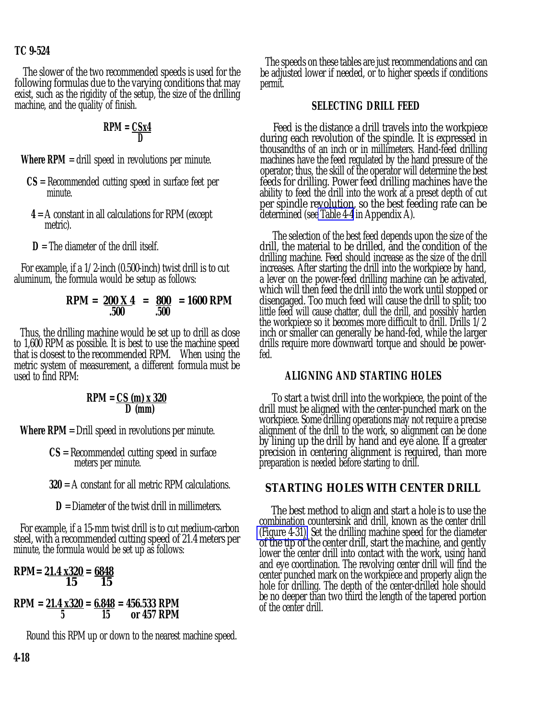## **TC 9-524**

The slower of the two recommended speeds is used for the following formulas due to the varying conditions that may exist, such as the rigidity of the setup, the size of the drilling machine, and the quality of finish.

$$
RPM = \frac{CSx4}{D}
$$

**Where RPM** = drill speed in revolutions per minute.

- **CS** = Recommended cutting speed in surface feet per minute.
- **4** = A constant in all calculations for RPM (except metric).
- **D** = The diameter of the drill itself.

For example, if a 1/2-inch (0.500-inch) twist drill is to cut aluminum, the formula would be setup as follows:

$$
RPM = \frac{200 X 4}{.500} = \frac{800}{.500} = 1600 RPM
$$

Thus, the drilling machine would be set up to drill as close to 1,600 RPM as possible. It is best to use the machine speed that is closest to the recommended RPM. When using the metric system of measurement, a different formula must be used to find RPM:

$$
RPM = \frac{CS (m) \times 320}{D (mm)}
$$

**Where RPM** = Drill speed in revolutions per minute.

- **CS** = Recommended cutting speed in surface meters per minute.
- **320** = A constant for all metric RPM calculations.
	- **D** = Diameter of the twist drill in millimeters.

For example, if a 15-mm twist drill is to cut medium-carbon steel, with a recommended cutting speed of 21.4 meters per minute, the formula would be set up as follows:

$$
RPM = 21.4 \times 320 = 6848
$$
  
15 15  

$$
RPM = 21.4 \times 320 = 6.848 = 456.533
$$
 RPM  
5 15 or 457 RPM

Round this RPM up or down to the nearest machine speed.

**5 15 or 457 RPM**

The speeds on these tables are just recommendations and can be adjusted lower if needed, or to higher speeds if conditions permit.

## **SELECTING DRILL FEED**

Feed is the distance a drill travels into the workpiece during each revolution of the spindle. It is expressed in thousandths of an inch or in millimeters. Hand-feed drilling machines have the feed regulated by the hand pressure of the operator; thus, the skill of the operator will determine the best feeds for drilling. Power feed drilling machines have the ability to feed the drill into the work at a preset depth of cut per spindle revolution, so the best feeding rate can be determined (see [Table 4-4](#page-5-0) in Appendix A).

The selection of the best feed depends upon the size of the drill, the material to be drilled, and the condition of the drilling machine. Feed should increase as the size of the drill increases. After starting the drill into the workpiece by hand, a lever on the power-feed drilling machine can be activated, which will then feed the drill into the work until stopped or disengaged. Too much feed will cause the drill to split; too little feed will cause chatter, dull the drill, and possibly harden the workpiece so it becomes more difficult to drill. Drills 1/2 inch or smaller can generally be hand-fed, while the larger drills require more downward torque and should be powerfed.

## **ALIGNING AND STARTING HOLES**

To start a twist drill into the workpiece, the point of the drill must be aligned with the center-punched mark on the workpiece. Some drilling operations may not require a precise alignment of the drill to the work, so alignment can be done by lining up the drill by hand and eye alone. If a greater precision in centering alignment is required, than more preparation is needed before starting to drill.

# **STARTING HOLES WITH CENTER DRILL**

The best method to align and start a hole is to use the combination countersink and drill, known as the center drill [\(Figure 4-31\).](#page-18-0) Set the drilling machine speed for the diameter of the tip of the center drill, start the machine, and gently lower the center drill into contact with the work, using hand and eye coordination. The revolving center drill will find the center punched mark on the workpiece and properly align the hole for drilling. The depth of the center-drilled hole should be no deeper than two third the length of the tapered portion of the center drill.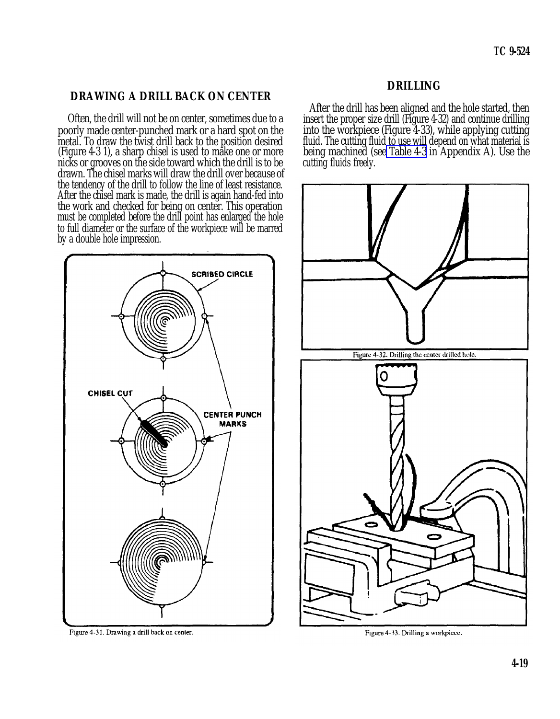## <span id="page-18-0"></span>**DRAWING A DRILL BACK ON CENTER**

Often, the drill will not be on center, sometimes due to a poorly made center-punched mark or a hard spot on the metal. To draw the twist drill back to the position desired (Figure 4-3 1), a sharp chisel is used to make one or more nicks or grooves on the side toward which the drill is to be drawn. The chisel marks will draw the drill over because of the tendency of the drill to follow the line of least resistance. After the chisel mark is made, the drill is again hand-fed into the work and checked for being on center. This operation must be completed before the drill point has enlarged the hole to full diameter or the surface of the workpiece will be marred by a double hole impression.



Figure 4-31. Drawing a drill back on center.

## **DRILLING**

After the drill has been aligned and the hole started, then insert the proper size drill (Figure 4-32) and continue drilling into the workpiece (Figure 4-33), while applying cutting fluid. The cutting fluid to use will depend on what material is being machined (see [Table 4-3](#page-4-0) in Appendix A). Use the cutting fluids freely.



Figure 4-33. Drilling a workpiece.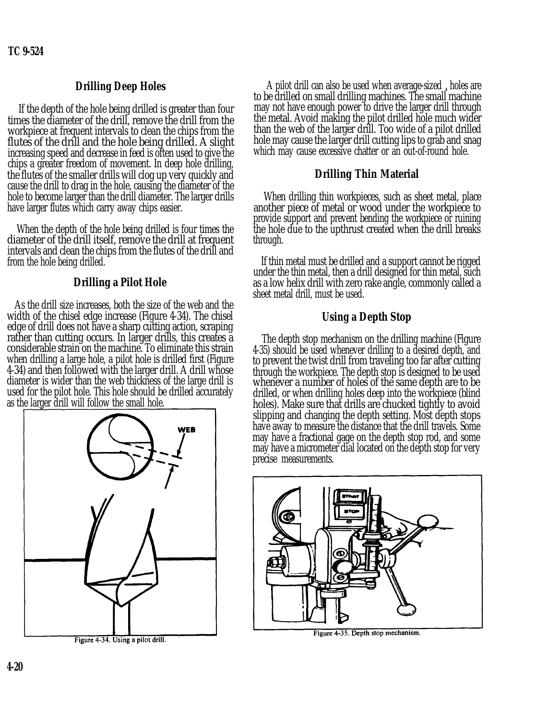# **Drilling Deep Holes**

If the depth of the hole being drilled is greater than four times the diameter of the drill, remove the drill from the workpiece at frequent intervals to clean the chips from the flutes of the drill and the hole being drilled. A slight increasing speed and decrease in feed is often used to give the chips a greater freedom of movement. In deep hole drilling, the flutes of the smaller drills will clog up very quickly and cause the drill to drag in the hole, causing the diameter of the hole to become larger than the drill diameter. The larger drills have larger flutes which carry away chips easier.

When the depth of the hole being drilled is four times the diameter of the drill itself, remove the drill at frequent intervals and clean the chips from the flutes of the drill and from the hole being drilled.

## **Drilling a Pilot Hole**

As the drill size increases, both the size of the web and the width of the chisel edge increase (Figure 4-34). The chisel edge of drill does not have a sharp cutting action, scraping rather than cutting occurs. In larger drills, this creates a considerable strain on the machine. To eliminate this strain when drilling a large hole, a pilot hole is drilled first (Figure 4-34) and then followed with the larger drill. A drill whose diameter is wider than the web thickness of the large drill is used for the pilot hole. This hole should be drilled accurately as the larger drill will follow the small hole.



A pilot drill can also be used when average-sized . holes are to be drilled on small drilling machines. The small machine may not have enough power to drive the larger drill through the metal. Avoid making the pilot drilled hole much wider than the web of the larger drill. Too wide of a pilot drilled hole may cause the larger drill cutting lips to grab and snag which may cause excessive chatter or an out-of-round hole.

## **Drilling Thin Material**

When drilling thin workpieces, such as sheet metal, place another piece of metal or wood under the workpiece to provide support and prevent bending the workpiece or ruining the hole due to the upthrust created when the drill breaks through.

If thin metal must be drilled and a support cannot be rigged under the thin metal, then a drill designed for thin metal, such as a low helix drill with zero rake angle, commonly called a sheet metal drill, must be used.

## **Using a Depth Stop**

The depth stop mechanism on the drilling machine (Figure 4-35) should be used whenever drilling to a desired depth, and to prevent the twist drill from traveling too far after cutting through the workpiece. The depth stop is designed to be used whenever a number of holes of the same depth are to be drilled, or when drilling holes deep into the workpiece (blind holes). Make sure that drills are chucked tightly to avoid slipping and changing the depth setting. Most depth stops have away to measure the distance that the drill travels. Some may have a fractional gage on the depth stop rod, and some may have a micrometer dial located on the depth stop for very precise measurements.



Figure 4-35. Depth stop mechanism.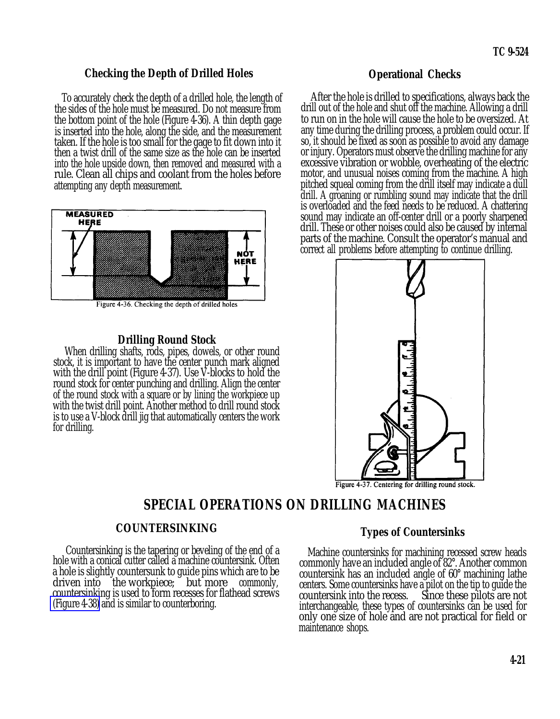# **Checking the Depth of Drilled Holes**

To accurately check the depth of a drilled hole, the length of the sides of the hole must be measured. Do not measure from the bottom point of the hole (Figure 4-36). A thin depth gage is inserted into the hole, along the side, and the measurement taken. If the hole is too small for the gage to fit down into it then a twist drill of the same size as the hole can be inserted into the hole upside down, then removed and measured with a rule. Clean all chips and coolant from the holes before attempting any depth measurement.



Figure 4-36. Checking the depth of drilled holes

## **Drilling Round Stock**

When drilling shafts, rods, pipes, dowels, or other round stock, it is important to have the center punch mark aligned with the drill point (Figure 4-37). Use V-blocks to hold the round stock for center punching and drilling. Align the center of the round stock with a square or by lining the workpiece up with the twist drill point. Another method to drill round stock is to use a V-block drill jig that automatically centers the work for drilling.

#### **Operational Checks**

After the hole is drilled to specifications, always back the drill out of the hole and shut off the machine. Allowing a drill to run on in the hole will cause the hole to be oversized. At any time during the drilling process, a problem could occur. If so, it should be fixed as soon as possible to avoid any damage or injury. Operators must observe the drilling machine for any excessive vibration or wobble, overheating of the electric motor, and unusual noises coming from the machine. A high pitched squeal coming from the drill itself may indicate a dull drill. A groaning or rumbling sound may indicate that the drill is overloaded and the feed needs to be reduced. A chattering sound may indicate an off-center drill or a poorly sharpened drill. These or other noises could also be caused by internal parts of the machine. Consult the operator's manual and correct all problems before attempting to continue drilling.



# **SPECIAL OPERATIONS ON DRILLING MACHINES**

# **COUNTERSINKING Types of Countersinks**

Countersinking is the tapering or beveling of the end of a Machine countersinks for machining recessed screw heads<br>hole with a conical cutter called a machine countersink. Often commonly have an included angle of 82°. Anot a hole is slightly countersunk to guide pins which are to be countersink has an included angle of 60° machining lathe<br>driven into the workpiece; but more commonly, centers. Some countersinks have a pilot on the tip to guid driven into the workpiece; but more commonly, centers. Some countersinks have a pilot on the tip to guide the

hole with a conical cutter called a machine countersink. Often commonly have an included angle of 82°. Another common<br>a hole is slightly countersunk to guide pins which are to be countersink has an included angle of 60° ma countersinking is used to form recesses for flathead screws countersink into the recess. Since these pilots are not [\(Figure 4-38\)](#page-21-0) and is similar to counterboring. interchangeable, these types of countersinks can be used for only one size of hole and are not practical for field or maintenance shops.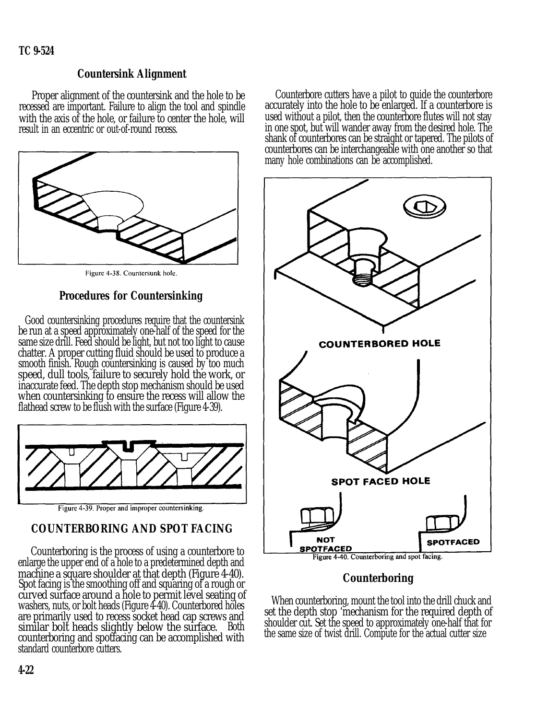# <span id="page-21-0"></span>**TC 9-524**

# **Countersink Alignment**

Proper alignment of the countersink and the hole to be recessed are important. Failure to align the tool and spindle with the axis of the hole, or failure to center the hole, will result in an eccentric or out-of-round recess.



Figure 4-38. Countersunk hole.

# **Procedures for Countersinking**

Good countersinking procedures require that the countersink be run at a speed approximately one-half of the speed for the same size drill. Feed should be light, but not too light to cause chatter. A proper cutting fluid should be used to produce a smooth finish. Rough countersinking is caused by too much speed, dull tools, failure to securely hold the work, or inaccurate feed. The depth stop mechanism should be used when countersinking to ensure the recess will allow the flathead screw to be flush with the surface (Figure 4-39).



Figure 4-39. Proper and improper countersinking.

# **COUNTERBORING AND SPOT FACING**

Counterboring is the process of using a counterbore to enlarge the upper end of a hole to a predetermined depth and machine a square shoulder at that depth (Figure 4-40). Spot facing is the smoothing off and squaring of a rough or curved surface around a hole to permit level seating of washers, nuts, or bolt heads (Figure 4-40). Counterbored holes are primarily used to recess socket head cap screws and similar bolt heads slightly below the surface. Both counterboring and spotfacing can be accomplished with standard counterbore cutters.

Counterbore cutters have a pilot to guide the counterbore accurately into the hole to be enlarged. If a counterbore is used without a pilot, then the counterbore flutes will not stay in one spot, but will wander away from the desired hole. The shank of counterbores can be straight or tapered. The pilots of counterbores can be interchangeable with one another so that many hole combinations can be accomplished.



# **Counterboring**

When counterboring, mount the tool into the drill chuck and set the depth stop 'mechanism for the required depth of shoulder cut. Set the speed to approximately one-half that for the same size of twist drill. Compute for the actual cutter size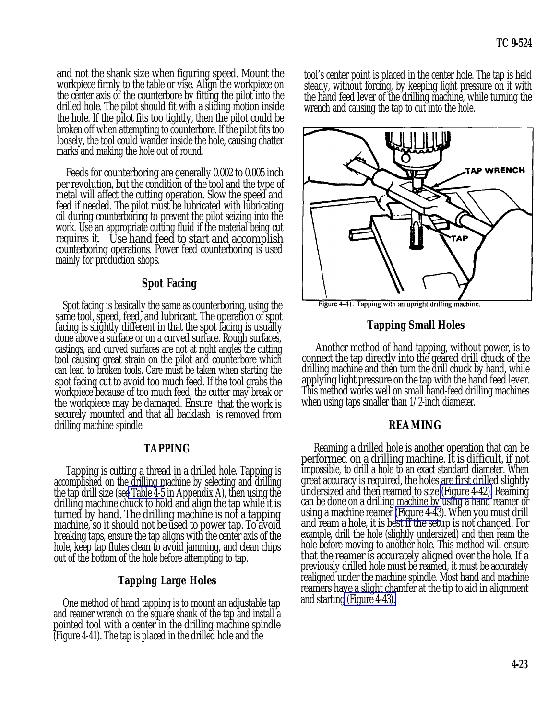and not the shank size when figuring speed. Mount the workpiece firmly to the table or vise. Align the workpiece on the center axis of the counterbore by fitting the pilot into the drilled hole. The pilot should fit with a sliding motion inside the hole. If the pilot fits too tightly, then the pilot could be broken off when attempting to counterbore. If the pilot fits too loosely, the tool could wander inside the hole, causing chatter marks and making the hole out of round.

Feeds for counterboring are generally 0.002 to 0.005 inch per revolution, but the condition of the tool and the type of metal will affect the cutting operation. Slow the speed and feed if needed. The pilot must be lubricated with lubricating oil during counterboring to prevent the pilot seizing into the work. Use an appropriate cutting fluid if the material being cut requires it. Use hand feed to start and accomplish counterboring operations. Power feed counterboring is used mainly for production shops.

## **Spot Facing**

Spot facing is basically the same as counterboring, using the same tool, speed, feed, and lubricant. The operation of spot facing is slightly different in that the spot facing is usually done above a surface or on a curved surface. Rough surfaces, castings, and curved surfaces are not at right angles the cutting tool causing great strain on the pilot and counterbore which can lead to broken tools. Care must be taken when starting the spot facing cut to avoid too much feed. If the tool grabs the workpiece because of too much feed, the cutter may break or the workpiece may be damaged. Ensure that the work is securely mounted and that all backlash is removed from drilling machine spindle.

## **TAPPING**

Tapping is cutting a thread in a drilled hole. Tapping is accomplished on the drilling machine by selecting and drilling the tap drill size (se[e Table 4-5](#page-6-0) in Appendix A), then using the drilling machine chuck to hold and align the tap while it is turned by hand. The drilling machine is not a tapping machine, so it should not be used to power tap. To avoid breaking taps, ensure the tap aligns with the center axis of the hole, keep tap flutes clean to avoid jamming, and clean chips out of the bottom of the hole before attempting to tap.

## **Tapping Large Holes**

One method of hand tapping is to mount an adjustable tap and reamer wrench on the square shank of the tap and install a pointed tool with a center in the drilling machine spindle (Figure 4-41). The tap is placed in the drilled hole and the

tool's center point is placed in the center hole. The tap is held steady, without forcing, by keeping light pressure on it with the hand feed lever of the drilling machine, while turning the wrench and causing the tap to cut into the hole.



Figure 4-41. Tapping with an upright drilling machine.

#### **Tapping Small Holes**

Another method of hand tapping, without power, is to connect the tap directly into the geared drill chuck of the drilling machine and then turn the drill chuck by hand, while applying light pressure on the tap with the hand feed lever. This method works well on small hand-feed drilling machines when using taps smaller than 1/2-inch diameter.

#### **REAMING**

Reaming a drilled hole is another operation that can be performed on a drilling machine. It is difficult, if not impossible, to drill a hole to an exact standard diameter. When great accuracy is required, the holes are first drilled slightly undersized and then reamed to size [\(Figure 4-42\).](#page-23-0) Reaming can be done on a drilling machine by using a hand reamer or using a machine reamer [\(Figure 4-43](#page-23-0)). When you must drill and ream a hole, it is best if the setup is not changed. For example, drill the hole (slightly undersized) and then ream the hole before moving to another hole. This method will ensure that the reamer is accurately aligned over the hole. If a previously drilled hole must be reamed, it must be accurately realigned under the machine spindle. Most hand and machine reamers have a slight chamfer at the tip to aid in alignment and startin[g \(Figure 4-43\).](#page-23-0)